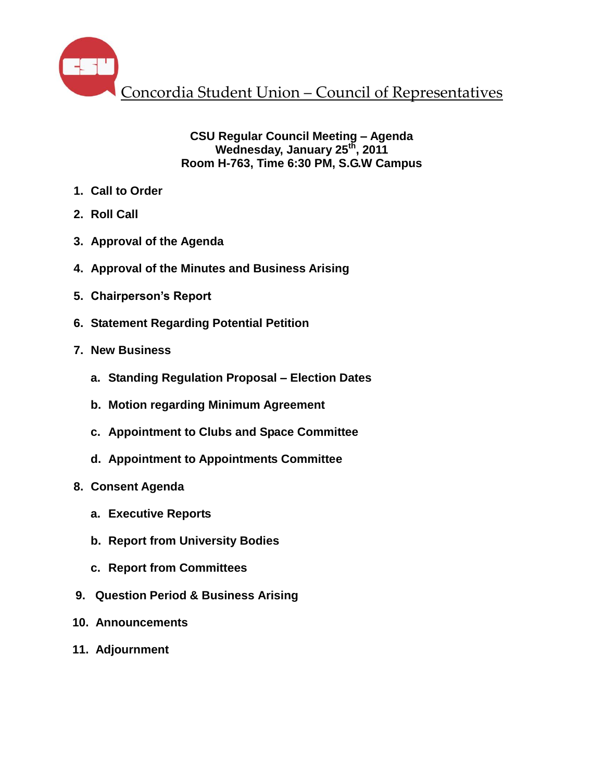

**CSU Regular Council Meeting – Agenda Wednesday, January 25th , 2011 Room H-763, Time 6:30 PM, S.G.W Campus**

- **1. Call to Order**
- **2. Roll Call**
- **3. Approval of the Agenda**
- **4. Approval of the Minutes and Business Arising**
- **5. Chairperson's Report**
- **6. Statement Regarding Potential Petition**
- **7. New Business**
	- **a. Standing Regulation Proposal – Election Dates**
	- **b. Motion regarding Minimum Agreement**
	- **c. Appointment to Clubs and Space Committee**
	- **d. Appointment to Appointments Committee**
- **8. Consent Agenda**
	- **a. Executive Reports**
	- **b. Report from University Bodies**
	- **c. Report from Committees**
- **9. Question Period & Business Arising**
- **10. Announcements**
- **11. Adjournment**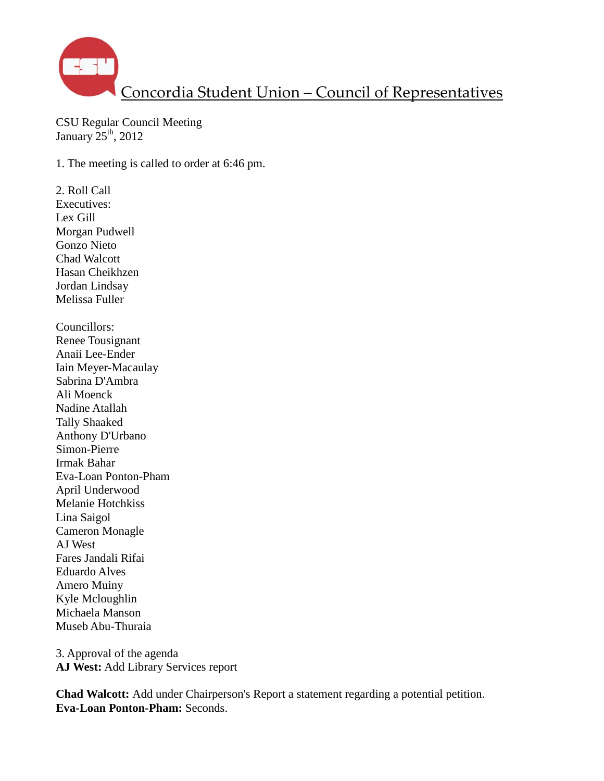

CSU Regular Council Meeting January  $25<sup>th</sup>$ , 2012

1. The meeting is called to order at 6:46 pm.

2. Roll Call Executives: Lex Gill Morgan Pudwell Gonzo Nieto Chad Walcott Hasan Cheikhzen Jordan Lindsay Melissa Fuller Councillors: Renee Tousignant Anaii Lee-Ender Iain Meyer-Macaulay Sabrina D'Ambra Ali Moenck Nadine Atallah Tally Shaaked Anthony D'Urbano Simon-Pierre Irmak Bahar Eva-Loan Ponton-Pham April Underwood Melanie Hotchkiss Lina Saigol Cameron Monagle AJ West Fares Jandali Rifai Eduardo Alves Amero Muiny Kyle Mcloughlin Michaela Manson Museb Abu-Thuraia

3. Approval of the agenda **AJ West:** Add Library Services report

**Chad Walcott:** Add under Chairperson's Report a statement regarding a potential petition. **Eva-Loan Ponton-Pham:** Seconds.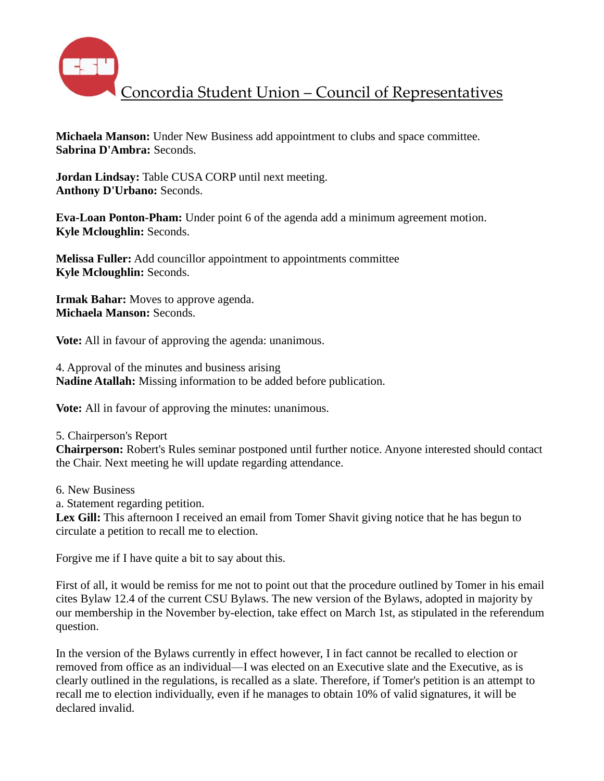

**Michaela Manson:** Under New Business add appointment to clubs and space committee. **Sabrina D'Ambra:** Seconds.

**Jordan Lindsay:** Table CUSA CORP until next meeting. **Anthony D'Urbano:** Seconds.

**Eva-Loan Ponton-Pham:** Under point 6 of the agenda add a minimum agreement motion. **Kyle Mcloughlin:** Seconds.

**Melissa Fuller:** Add councillor appointment to appointments committee **Kyle Mcloughlin:** Seconds.

**Irmak Bahar:** Moves to approve agenda. **Michaela Manson:** Seconds.

**Vote:** All in favour of approving the agenda: unanimous.

4. Approval of the minutes and business arising **Nadine Atallah:** Missing information to be added before publication.

**Vote:** All in favour of approving the minutes: unanimous.

#### 5. Chairperson's Report

**Chairperson:** Robert's Rules seminar postponed until further notice. Anyone interested should contact the Chair. Next meeting he will update regarding attendance.

- 6. New Business
- a. Statement regarding petition.

Lex Gill: This afternoon I received an email from Tomer Shavit giving notice that he has begun to circulate a petition to recall me to election.

Forgive me if I have quite a bit to say about this.

First of all, it would be remiss for me not to point out that the procedure outlined by Tomer in his email cites Bylaw 12.4 of the current CSU Bylaws. The new version of the Bylaws, adopted in majority by our membership in the November by-election, take effect on March 1st, as stipulated in the referendum question.

In the version of the Bylaws currently in effect however, I in fact cannot be recalled to election or removed from office as an individual—I was elected on an Executive slate and the Executive, as is clearly outlined in the regulations, is recalled as a slate. Therefore, if Tomer's petition is an attempt to recall me to election individually, even if he manages to obtain 10% of valid signatures, it will be declared invalid.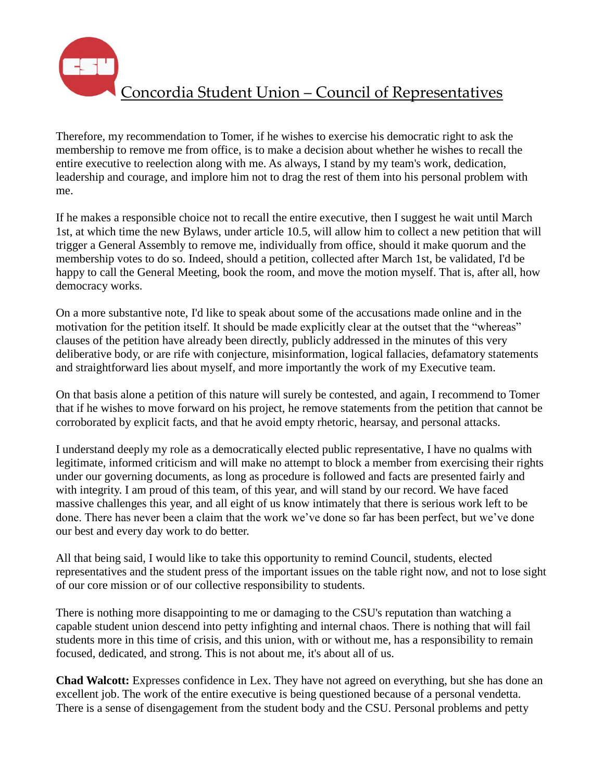Therefore, my recommendation to Tomer, if he wishes to exercise his democratic right to ask the membership to remove me from office, is to make a decision about whether he wishes to recall the entire executive to reelection along with me. As always, I stand by my team's work, dedication, leadership and courage, and implore him not to drag the rest of them into his personal problem with me.

If he makes a responsible choice not to recall the entire executive, then I suggest he wait until March 1st, at which time the new Bylaws, under article 10.5, will allow him to collect a new petition that will trigger a General Assembly to remove me, individually from office, should it make quorum and the membership votes to do so. Indeed, should a petition, collected after March 1st, be validated, I'd be happy to call the General Meeting, book the room, and move the motion myself. That is, after all, how democracy works.

On a more substantive note, I'd like to speak about some of the accusations made online and in the motivation for the petition itself. It should be made explicitly clear at the outset that the "whereas" clauses of the petition have already been directly, publicly addressed in the minutes of this very deliberative body, or are rife with conjecture, misinformation, logical fallacies, defamatory statements and straightforward lies about myself, and more importantly the work of my Executive team.

On that basis alone a petition of this nature will surely be contested, and again, I recommend to Tomer that if he wishes to move forward on his project, he remove statements from the petition that cannot be corroborated by explicit facts, and that he avoid empty rhetoric, hearsay, and personal attacks.

I understand deeply my role as a democratically elected public representative, I have no qualms with legitimate, informed criticism and will make no attempt to block a member from exercising their rights under our governing documents, as long as procedure is followed and facts are presented fairly and with integrity. I am proud of this team, of this year, and will stand by our record. We have faced massive challenges this year, and all eight of us know intimately that there is serious work left to be done. There has never been a claim that the work we've done so far has been perfect, but we've done our best and every day work to do better.

All that being said, I would like to take this opportunity to remind Council, students, elected representatives and the student press of the important issues on the table right now, and not to lose sight of our core mission or of our collective responsibility to students.

There is nothing more disappointing to me or damaging to the CSU's reputation than watching a capable student union descend into petty infighting and internal chaos. There is nothing that will fail students more in this time of crisis, and this union, with or without me, has a responsibility to remain focused, dedicated, and strong. This is not about me, it's about all of us.

**Chad Walcott:** Expresses confidence in Lex. They have not agreed on everything, but she has done an excellent job. The work of the entire executive is being questioned because of a personal vendetta. There is a sense of disengagement from the student body and the CSU. Personal problems and petty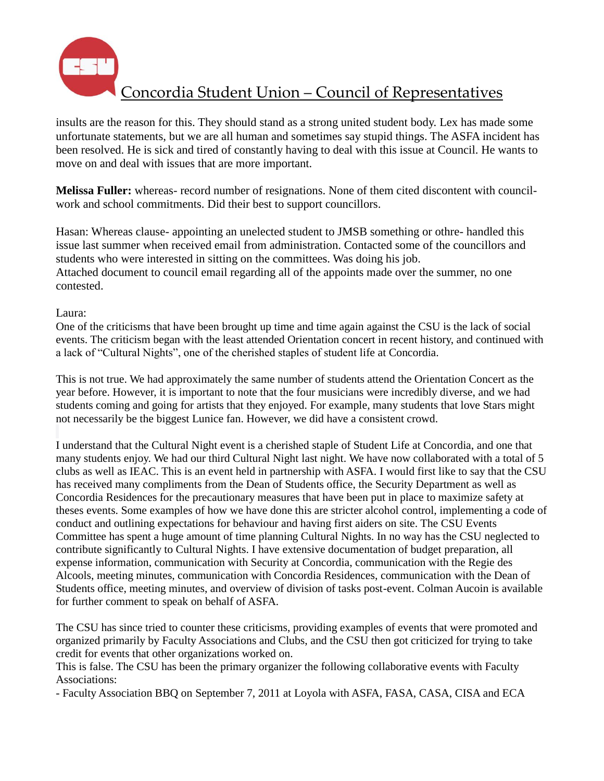

insults are the reason for this. They should stand as a strong united student body. Lex has made some unfortunate statements, but we are all human and sometimes say stupid things. The ASFA incident has been resolved. He is sick and tired of constantly having to deal with this issue at Council. He wants to move on and deal with issues that are more important.

**Melissa Fuller:** whereas- record number of resignations. None of them cited discontent with councilwork and school commitments. Did their best to support councillors.

Hasan: Whereas clause- appointing an unelected student to JMSB something or othre- handled this issue last summer when received email from administration. Contacted some of the councillors and students who were interested in sitting on the committees. Was doing his job. Attached document to council email regarding all of the appoints made over the summer, no one contested.

#### Laura:

One of the criticisms that have been brought up time and time again against the CSU is the lack of social events. The criticism began with the least attended Orientation concert in recent history, and continued with a lack of "Cultural Nights", one of the cherished staples of student life at Concordia.

This is not true. We had approximately the same number of students attend the Orientation Concert as the year before. However, it is important to note that the four musicians were incredibly diverse, and we had students coming and going for artists that they enjoyed. For example, many students that love Stars might not necessarily be the biggest Lunice fan. However, we did have a consistent crowd.

I understand that the Cultural Night event is a cherished staple of Student Life at Concordia, and one that many students enjoy. We had our third Cultural Night last night. We have now collaborated with a total of 5 clubs as well as IEAC. This is an event held in partnership with ASFA. I would first like to say that the CSU has received many compliments from the Dean of Students office, the Security Department as well as Concordia Residences for the precautionary measures that have been put in place to maximize safety at theses events. Some examples of how we have done this are stricter alcohol control, implementing a code of conduct and outlining expectations for behaviour and having first aiders on site. The CSU Events Committee has spent a huge amount of time planning Cultural Nights. In no way has the CSU neglected to contribute significantly to Cultural Nights. I have extensive documentation of budget preparation, all expense information, communication with Security at Concordia, communication with the Regie des Alcools, meeting minutes, communication with Concordia Residences, communication with the Dean of Students office, meeting minutes, and overview of division of tasks post-event. Colman Aucoin is available for further comment to speak on behalf of ASFA.

The CSU has since tried to counter these criticisms, providing examples of events that were promoted and organized primarily by Faculty Associations and Clubs, and the CSU then got criticized for trying to take credit for events that other organizations worked on.

This is false. The CSU has been the primary organizer the following collaborative events with Faculty Associations:

- Faculty Association BBQ on September 7, 2011 at Loyola with ASFA, FASA, CASA, CISA and ECA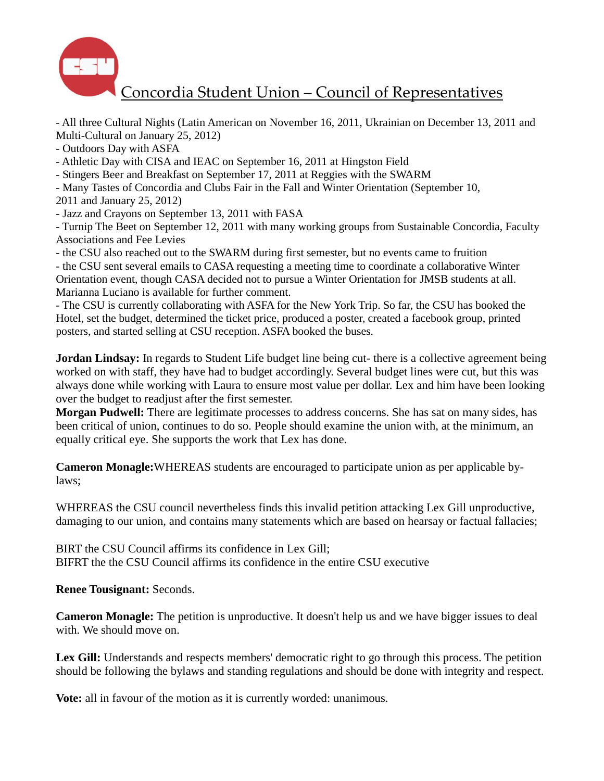

- All three Cultural Nights (Latin American on November 16, 2011, Ukrainian on December 13, 2011 and Multi-Cultural on January 25, 2012)

- Outdoors Day with ASFA

- Athletic Day with CISA and IEAC on September 16, 2011 at Hingston Field

- Stingers Beer and Breakfast on September 17, 2011 at Reggies with the SWARM
- Many Tastes of Concordia and Clubs Fair in the Fall and Winter Orientation (September 10,

2011 and January 25, 2012)

- Jazz and Crayons on September 13, 2011 with FASA

- Turnip The Beet on September 12, 2011 with many working groups from Sustainable Concordia, Faculty Associations and Fee Levies

- the CSU also reached out to the SWARM during first semester, but no events came to fruition

- the CSU sent several emails to CASA requesting a meeting time to coordinate a collaborative Winter Orientation event, though CASA decided not to pursue a Winter Orientation for JMSB students at all. Marianna Luciano is available for further comment.

- The CSU is currently collaborating with ASFA for the New York Trip. So far, the CSU has booked the Hotel, set the budget, determined the ticket price, produced a poster, created a facebook group, printed posters, and started selling at CSU reception. ASFA booked the buses.

**Jordan Lindsay:** In regards to Student Life budget line being cut- there is a collective agreement being worked on with staff, they have had to budget accordingly. Several budget lines were cut, but this was always done while working with Laura to ensure most value per dollar. Lex and him have been looking over the budget to readjust after the first semester.

**Morgan Pudwell:** There are legitimate processes to address concerns. She has sat on many sides, has been critical of union, continues to do so. People should examine the union with, at the minimum, an equally critical eye. She supports the work that Lex has done.

**Cameron Monagle:**WHEREAS students are encouraged to participate union as per applicable bylaws;

WHEREAS the CSU council nevertheless finds this invalid petition attacking Lex Gill unproductive, damaging to our union, and contains many statements which are based on hearsay or factual fallacies;

BIRT the CSU Council affirms its confidence in Lex Gill; BIFRT the the CSU Council affirms its confidence in the entire CSU executive

**Renee Tousignant:** Seconds.

**Cameron Monagle:** The petition is unproductive. It doesn't help us and we have bigger issues to deal with. We should move on.

Lex Gill: Understands and respects members' democratic right to go through this process. The petition should be following the bylaws and standing regulations and should be done with integrity and respect.

**Vote:** all in favour of the motion as it is currently worded: unanimous.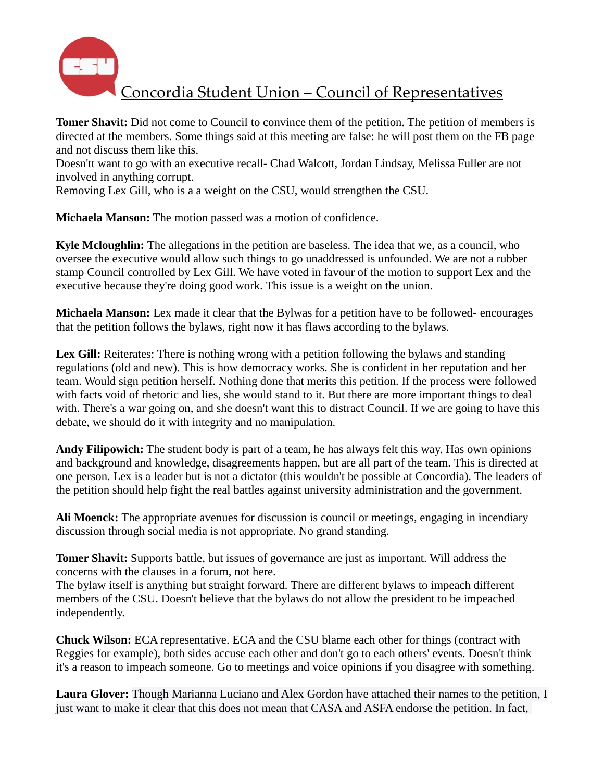

**Tomer Shavit:** Did not come to Council to convince them of the petition. The petition of members is directed at the members. Some things said at this meeting are false: he will post them on the FB page and not discuss them like this.

Doesn'tt want to go with an executive recall- Chad Walcott, Jordan Lindsay, Melissa Fuller are not involved in anything corrupt.

Removing Lex Gill, who is a a weight on the CSU, would strengthen the CSU.

**Michaela Manson:** The motion passed was a motion of confidence.

**Kyle Mcloughlin:** The allegations in the petition are baseless. The idea that we, as a council, who oversee the executive would allow such things to go unaddressed is unfounded. We are not a rubber stamp Council controlled by Lex Gill. We have voted in favour of the motion to support Lex and the executive because they're doing good work. This issue is a weight on the union.

**Michaela Manson:** Lex made it clear that the Bylwas for a petition have to be followed- encourages that the petition follows the bylaws, right now it has flaws according to the bylaws.

Lex Gill: Reiterates: There is nothing wrong with a petition following the bylaws and standing regulations (old and new). This is how democracy works. She is confident in her reputation and her team. Would sign petition herself. Nothing done that merits this petition. If the process were followed with facts void of rhetoric and lies, she would stand to it. But there are more important things to deal with. There's a war going on, and she doesn't want this to distract Council. If we are going to have this debate, we should do it with integrity and no manipulation.

**Andy Filipowich:** The student body is part of a team, he has always felt this way. Has own opinions and background and knowledge, disagreements happen, but are all part of the team. This is directed at one person. Lex is a leader but is not a dictator (this wouldn't be possible at Concordia). The leaders of the petition should help fight the real battles against university administration and the government.

**Ali Moenck:** The appropriate avenues for discussion is council or meetings, engaging in incendiary discussion through social media is not appropriate. No grand standing.

**Tomer Shavit:** Supports battle, but issues of governance are just as important. Will address the concerns with the clauses in a forum, not here.

The bylaw itself is anything but straight forward. There are different bylaws to impeach different members of the CSU. Doesn't believe that the bylaws do not allow the president to be impeached independently.

**Chuck Wilson:** ECA representative. ECA and the CSU blame each other for things (contract with Reggies for example), both sides accuse each other and don't go to each others' events. Doesn't think it's a reason to impeach someone. Go to meetings and voice opinions if you disagree with something.

**Laura Glover:** Though Marianna Luciano and Alex Gordon have attached their names to the petition, I just want to make it clear that this does not mean that CASA and ASFA endorse the petition. In fact,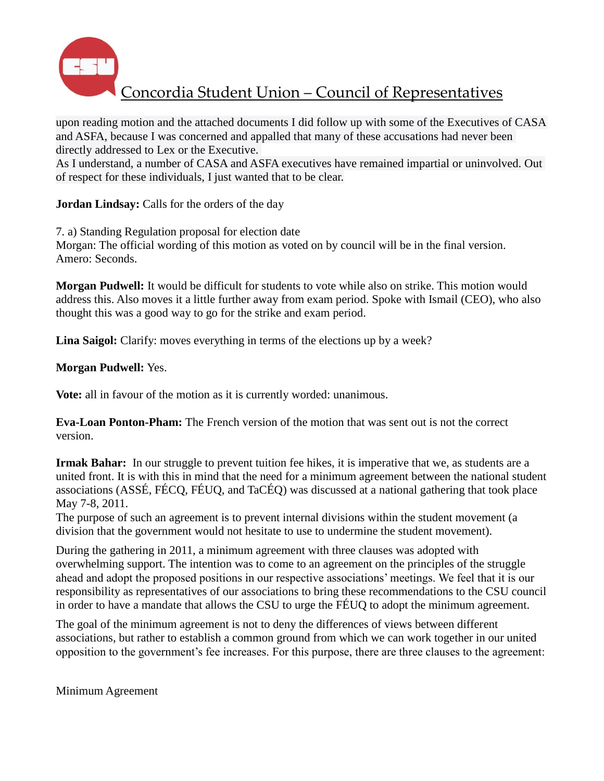

upon reading motion and the attached documents I did follow up with some of the Executives of CASA and ASFA, because I was concerned and appalled that many of these accusations had never been directly addressed to Lex or the Executive.

As I understand, a number of CASA and ASFA executives have remained impartial or uninvolved. Out of respect for these individuals, I just wanted that to be clear.

**Jordan Lindsay:** Calls for the orders of the day

7. a) Standing Regulation proposal for election date Morgan: The official wording of this motion as voted on by council will be in the final version. Amero: Seconds.

**Morgan Pudwell:** It would be difficult for students to vote while also on strike. This motion would address this. Also moves it a little further away from exam period. Spoke with Ismail (CEO), who also thought this was a good way to go for the strike and exam period.

Lina Saigol: Clarify: moves everything in terms of the elections up by a week?

**Morgan Pudwell:** Yes.

**Vote:** all in favour of the motion as it is currently worded: unanimous.

**Eva-Loan Ponton-Pham:** The French version of the motion that was sent out is not the correct version.

**Irmak Bahar:** In our struggle to prevent tuition fee hikes, it is imperative that we, as students are a united front. It is with this in mind that the need for a minimum agreement between the national student associations (ASSÉ, FÉCQ, FÉUQ, and TaCÉQ) was discussed at a national gathering that took place May 7-8, 2011.

The purpose of such an agreement is to prevent internal divisions within the student movement (a division that the government would not hesitate to use to undermine the student movement).

During the gathering in 2011, a minimum agreement with three clauses was adopted with overwhelming support. The intention was to come to an agreement on the principles of the struggle ahead and adopt the proposed positions in our respective associations' meetings. We feel that it is our responsibility as representatives of our associations to bring these recommendations to the CSU council in order to have a mandate that allows the CSU to urge the FÉUQ to adopt the minimum agreement.

The goal of the minimum agreement is not to deny the differences of views between different associations, but rather to establish a common ground from which we can work together in our united opposition to the government's fee increases. For this purpose, there are three clauses to the agreement:

Minimum Agreement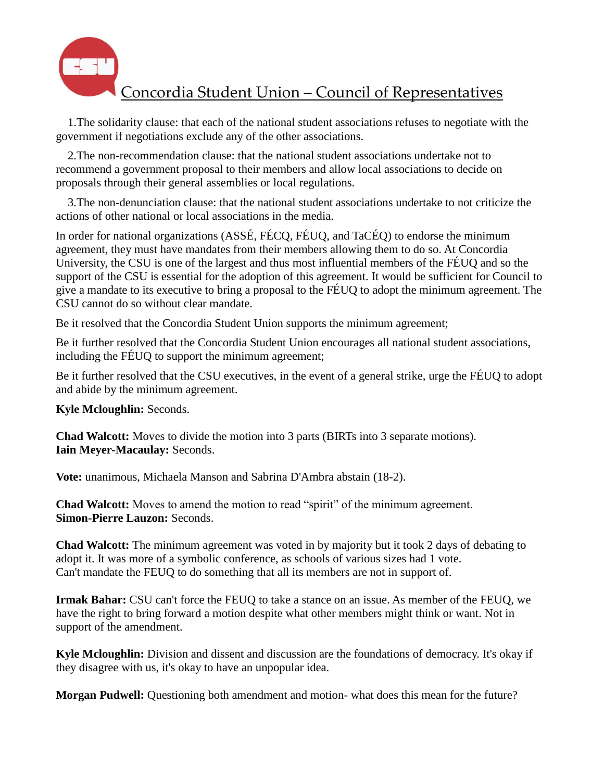

 1.The solidarity clause: that each of the national student associations refuses to negotiate with the government if negotiations exclude any of the other associations.

 2.The non-recommendation clause: that the national student associations undertake not to recommend a government proposal to their members and allow local associations to decide on proposals through their general assemblies or local regulations.

 3.The non-denunciation clause: that the national student associations undertake to not criticize the actions of other national or local associations in the media.

In order for national organizations (ASSÉ, FÉCQ, FÉUQ, and TaCÉQ) to endorse the minimum agreement, they must have mandates from their members allowing them to do so. At Concordia University, the CSU is one of the largest and thus most influential members of the FÉUQ and so the support of the CSU is essential for the adoption of this agreement. It would be sufficient for Council to give a mandate to its executive to bring a proposal to the FÉUQ to adopt the minimum agreement. The CSU cannot do so without clear mandate.

Be it resolved that the Concordia Student Union supports the minimum agreement;

Be it further resolved that the Concordia Student Union encourages all national student associations, including the FÉUQ to support the minimum agreement;

Be it further resolved that the CSU executives, in the event of a general strike, urge the FÉUQ to adopt and abide by the minimum agreement.

**Kyle Mcloughlin:** Seconds.

**Chad Walcott:** Moves to divide the motion into 3 parts (BIRTs into 3 separate motions). **Iain Meyer-Macaulay:** Seconds.

**Vote:** unanimous, Michaela Manson and Sabrina D'Ambra abstain (18-2).

**Chad Walcott:** Moves to amend the motion to read "spirit" of the minimum agreement. **Simon-Pierre Lauzon:** Seconds.

**Chad Walcott:** The minimum agreement was voted in by majority but it took 2 days of debating to adopt it. It was more of a symbolic conference, as schools of various sizes had 1 vote. Can't mandate the FEUQ to do something that all its members are not in support of.

**Irmak Bahar:** CSU can't force the FEUQ to take a stance on an issue. As member of the FEUQ, we have the right to bring forward a motion despite what other members might think or want. Not in support of the amendment.

**Kyle Mcloughlin:** Division and dissent and discussion are the foundations of democracy. It's okay if they disagree with us, it's okay to have an unpopular idea.

**Morgan Pudwell:** Questioning both amendment and motion- what does this mean for the future?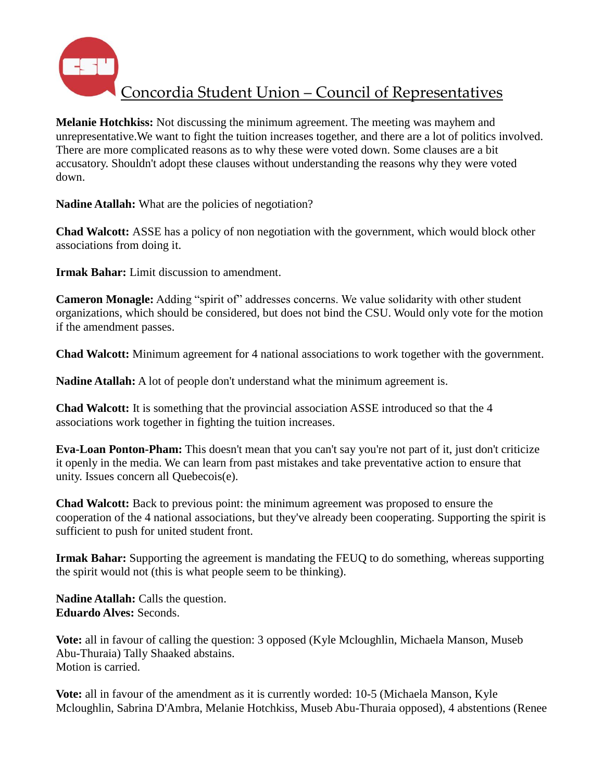

**Melanie Hotchkiss:** Not discussing the minimum agreement. The meeting was mayhem and unrepresentative.We want to fight the tuition increases together, and there are a lot of politics involved. There are more complicated reasons as to why these were voted down. Some clauses are a bit accusatory. Shouldn't adopt these clauses without understanding the reasons why they were voted down.

Nadine Atallah: What are the policies of negotiation?

**Chad Walcott:** ASSE has a policy of non negotiation with the government, which would block other associations from doing it.

**Irmak Bahar:** Limit discussion to amendment.

**Cameron Monagle:** Adding "spirit of" addresses concerns. We value solidarity with other student organizations, which should be considered, but does not bind the CSU. Would only vote for the motion if the amendment passes.

**Chad Walcott:** Minimum agreement for 4 national associations to work together with the government.

**Nadine Atallah:** A lot of people don't understand what the minimum agreement is.

**Chad Walcott:** It is something that the provincial association ASSE introduced so that the 4 associations work together in fighting the tuition increases.

**Eva-Loan Ponton-Pham:** This doesn't mean that you can't say you're not part of it, just don't criticize it openly in the media. We can learn from past mistakes and take preventative action to ensure that unity. Issues concern all Quebecois(e).

**Chad Walcott:** Back to previous point: the minimum agreement was proposed to ensure the cooperation of the 4 national associations, but they've already been cooperating. Supporting the spirit is sufficient to push for united student front.

**Irmak Bahar:** Supporting the agreement is mandating the FEUQ to do something, whereas supporting the spirit would not (this is what people seem to be thinking).

**Nadine Atallah:** Calls the question. **Eduardo Alves:** Seconds.

**Vote:** all in favour of calling the question: 3 opposed (Kyle Mcloughlin, Michaela Manson, Museb Abu-Thuraia) Tally Shaaked abstains. Motion is carried.

**Vote:** all in favour of the amendment as it is currently worded: 10-5 (Michaela Manson, Kyle Mcloughlin, Sabrina D'Ambra, Melanie Hotchkiss, Museb Abu-Thuraia opposed), 4 abstentions (Renee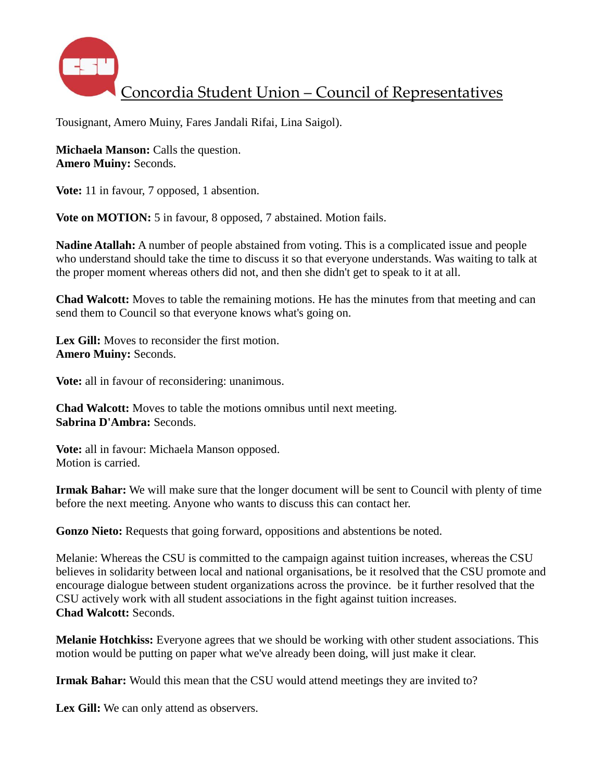

Tousignant, Amero Muiny, Fares Jandali Rifai, Lina Saigol).

**Michaela Manson:** Calls the question. **Amero Muiny:** Seconds.

**Vote:** 11 in favour, 7 opposed, 1 absention.

**Vote on MOTION:** 5 in favour, 8 opposed, 7 abstained. Motion fails.

**Nadine Atallah:** A number of people abstained from voting. This is a complicated issue and people who understand should take the time to discuss it so that everyone understands. Was waiting to talk at the proper moment whereas others did not, and then she didn't get to speak to it at all.

**Chad Walcott:** Moves to table the remaining motions. He has the minutes from that meeting and can send them to Council so that everyone knows what's going on.

**Lex Gill:** Moves to reconsider the first motion. **Amero Muiny:** Seconds.

**Vote:** all in favour of reconsidering: unanimous.

**Chad Walcott:** Moves to table the motions omnibus until next meeting. **Sabrina D'Ambra:** Seconds.

**Vote:** all in favour: Michaela Manson opposed. Motion is carried.

**Irmak Bahar:** We will make sure that the longer document will be sent to Council with plenty of time before the next meeting. Anyone who wants to discuss this can contact her.

Gonzo Nieto: Requests that going forward, oppositions and abstentions be noted.

Melanie: Whereas the CSU is committed to the campaign against tuition increases, whereas the CSU believes in solidarity between local and national organisations, be it resolved that the CSU promote and encourage dialogue between student organizations across the province. be it further resolved that the CSU actively work with all student associations in the fight against tuition increases. **Chad Walcott:** Seconds.

**Melanie Hotchkiss:** Everyone agrees that we should be working with other student associations. This motion would be putting on paper what we've already been doing, will just make it clear.

**Irmak Bahar:** Would this mean that the CSU would attend meetings they are invited to?

Lex Gill: We can only attend as observers.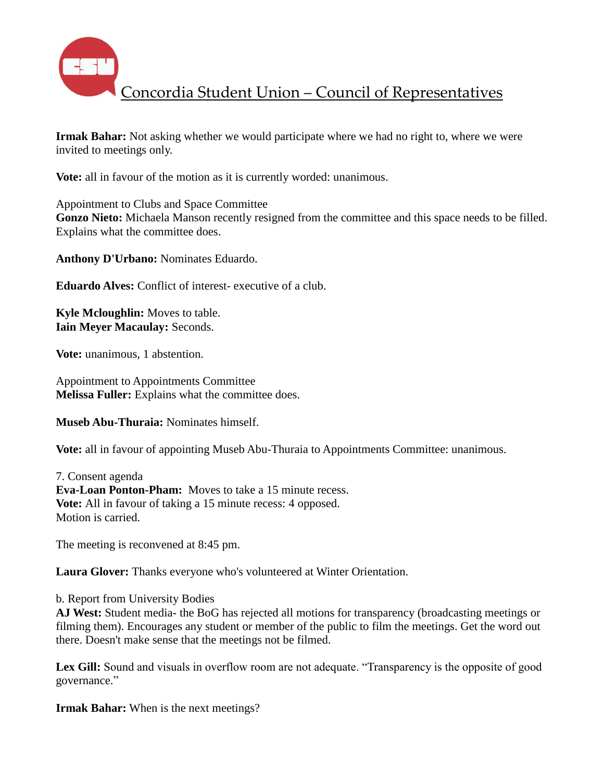

**Irmak Bahar:** Not asking whether we would participate where we had no right to, where we were invited to meetings only.

**Vote:** all in favour of the motion as it is currently worded: unanimous.

Appointment to Clubs and Space Committee **Gonzo Nieto:** Michaela Manson recently resigned from the committee and this space needs to be filled. Explains what the committee does.

**Anthony D'Urbano:** Nominates Eduardo.

**Eduardo Alves:** Conflict of interest- executive of a club.

**Kyle Mcloughlin:** Moves to table. **Iain Meyer Macaulay:** Seconds.

**Vote:** unanimous, 1 abstention.

Appointment to Appointments Committee **Melissa Fuller:** Explains what the committee does.

**Museb Abu-Thuraia:** Nominates himself.

**Vote:** all in favour of appointing Museb Abu-Thuraia to Appointments Committee: unanimous.

7. Consent agenda **Eva-Loan Ponton-Pham:** Moves to take a 15 minute recess. **Vote:** All in favour of taking a 15 minute recess: 4 opposed. Motion is carried.

The meeting is reconvened at 8:45 pm.

**Laura Glover:** Thanks everyone who's volunteered at Winter Orientation.

b. Report from University Bodies

**AJ West:** Student media- the BoG has rejected all motions for transparency (broadcasting meetings or filming them). Encourages any student or member of the public to film the meetings. Get the word out there. Doesn't make sense that the meetings not be filmed.

Lex Gill: Sound and visuals in overflow room are not adequate. "Transparency is the opposite of good governance."

**Irmak Bahar:** When is the next meetings?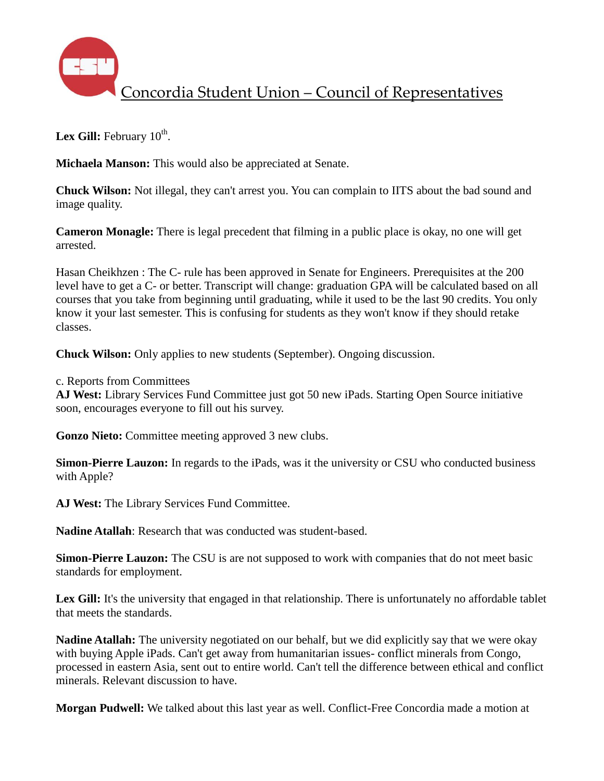

Lex Gill: February 10<sup>th</sup>.

**Michaela Manson:** This would also be appreciated at Senate.

**Chuck Wilson:** Not illegal, they can't arrest you. You can complain to IITS about the bad sound and image quality.

**Cameron Monagle:** There is legal precedent that filming in a public place is okay, no one will get arrested.

Hasan Cheikhzen : The C- rule has been approved in Senate for Engineers. Prerequisites at the 200 level have to get a C- or better. Transcript will change: graduation GPA will be calculated based on all courses that you take from beginning until graduating, while it used to be the last 90 credits. You only know it your last semester. This is confusing for students as they won't know if they should retake classes.

**Chuck Wilson:** Only applies to new students (September). Ongoing discussion.

c. Reports from Committees

**AJ West:** Library Services Fund Committee just got 50 new iPads. Starting Open Source initiative soon, encourages everyone to fill out his survey.

**Gonzo Nieto:** Committee meeting approved 3 new clubs.

**Simon-Pierre Lauzon:** In regards to the iPads, was it the university or CSU who conducted business with Apple?

**AJ West:** The Library Services Fund Committee.

**Nadine Atallah**: Research that was conducted was student-based.

**Simon-Pierre Lauzon:** The CSU is are not supposed to work with companies that do not meet basic standards for employment.

Lex Gill: It's the university that engaged in that relationship. There is unfortunately no affordable tablet that meets the standards.

**Nadine Atallah:** The university negotiated on our behalf, but we did explicitly say that we were okay with buying Apple iPads. Can't get away from humanitarian issues- conflict minerals from Congo, processed in eastern Asia, sent out to entire world. Can't tell the difference between ethical and conflict minerals. Relevant discussion to have.

**Morgan Pudwell:** We talked about this last year as well. Conflict-Free Concordia made a motion at